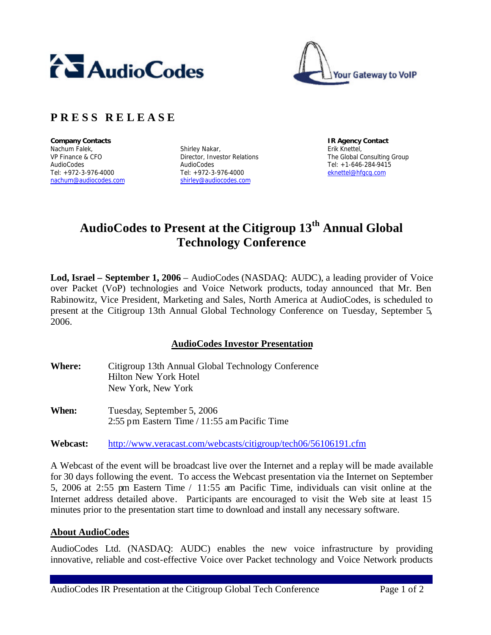



## **P R E S S R E L E A S E**

**Company Contacts IR Agency Contact** Nachum Falek, VP Finance & CFO AudioCodes Tel: +972-3-976-4000 nachum@audiocodes.com

Shirley Nakar, Director, Investor Relations AudioCodes Tel: +972-3-976-4000 shirley@audiocodes.com

Erik Knettel, The Global Consulting Group Tel: +1-646-284-9415 eknettel@hfgcg.com

# **AudioCodes to Present at the Citigroup 13th Annual Global Technology Conference**

**Lod, Israel – September 1, 2006** – AudioCodes (NASDAQ: AUDC), a leading provider of Voice over Packet (VoP) technologies and Voice Network products, today announced that Mr. Ben Rabinowitz, Vice President, Marketing and Sales, North America at AudioCodes, is scheduled to present at the Citigroup 13th Annual Global Technology Conference on Tuesday, September 5, 2006.

### **AudioCodes Investor Presentation**

- **Where:** Citigroup 13th Annual Global Technology Conference Hilton New York Hotel New York, New York
- **When:** Tuesday, September 5, 2006 2:55 pm Eastern Time / 11:55 am Pacific Time

**Webcast:** http://www.veracast.com/webcasts/citigroup/tech06/56106191.cfm

A Webcast of the event will be broadcast live over the Internet and a replay will be made available for 30 days following the event. To access the Webcast presentation via the Internet on September 5, 2006 at 2:55 pm Eastern Time / 11:55 am Pacific Time, individuals can visit online at the Internet address detailed above. Participants are encouraged to visit the Web site at least 15 minutes prior to the presentation start time to download and install any necessary software.

### **About AudioCodes**

AudioCodes Ltd. (NASDAQ: AUDC) enables the new voice infrastructure by providing innovative, reliable and cost-effective Voice over Packet technology and Voice Network products